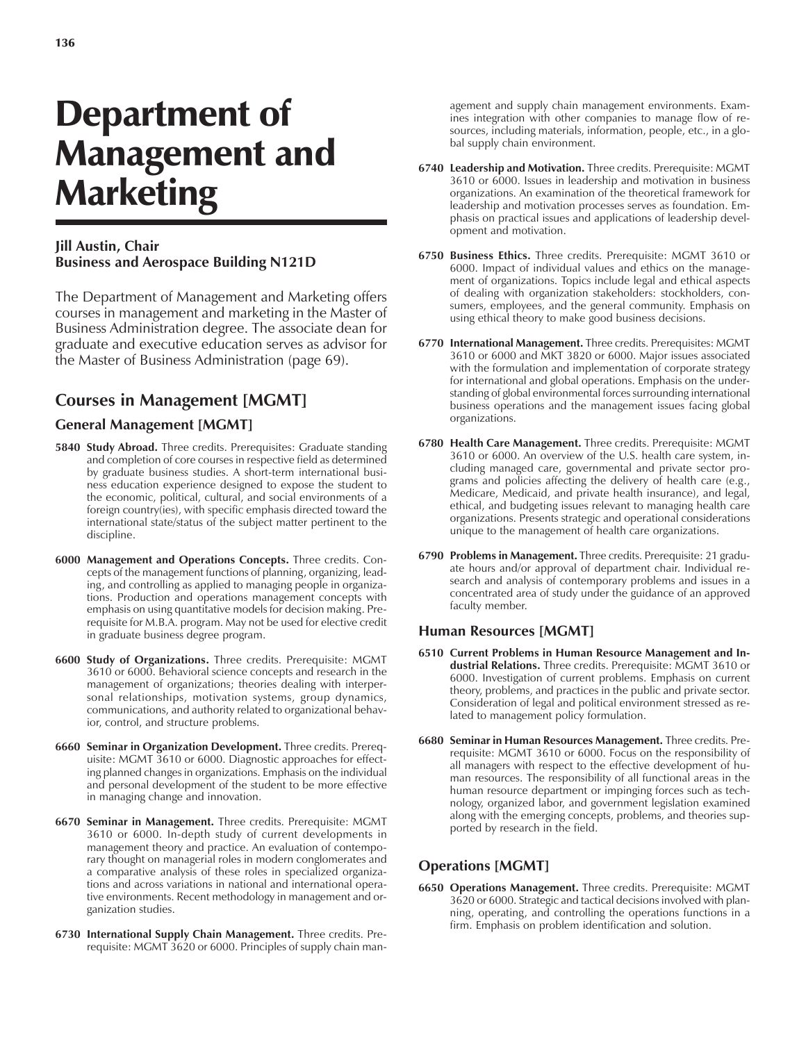# Department of Management and Marketing

#### **Jill Austin, Chair Business and Aerospace Building N121D**

The Department of Management and Marketing offers courses in management and marketing in the Master of Business Administration degree. The associate dean for graduate and executive education serves as advisor for the Master of Business Administration (page 69).

## **Courses in Management [MGMT]**

#### **General Management [MGMT]**

- **5840 Study Abroad.** Three credits. Prerequisites: Graduate standing and completion of core courses in respective field as determined by graduate business studies. A short-term international business education experience designed to expose the student to the economic, political, cultural, and social environments of a foreign country(ies), with specific emphasis directed toward the international state/status of the subject matter pertinent to the discipline.
- **6000 Management and Operations Concepts.** Three credits. Concepts of the management functions of planning, organizing, leading, and controlling as applied to managing people in organizations. Production and operations management concepts with emphasis on using quantitative models for decision making. Prerequisite for M.B.A. program. May not be used for elective credit in graduate business degree program.
- **6600 Study of Organizations.** Three credits. Prerequisite: MGMT 3610 or 6000. Behavioral science concepts and research in the management of organizations; theories dealing with interpersonal relationships, motivation systems, group dynamics, communications, and authority related to organizational behavior, control, and structure problems.
- **6660 Seminar in Organization Development.** Three credits. Prerequisite: MGMT 3610 or 6000. Diagnostic approaches for effecting planned changes in organizations. Emphasis on the individual and personal development of the student to be more effective in managing change and innovation.
- **6670 Seminar in Management.** Three credits. Prerequisite: MGMT 3610 or 6000. In-depth study of current developments in management theory and practice. An evaluation of contemporary thought on managerial roles in modern conglomerates and a comparative analysis of these roles in specialized organizations and across variations in national and international operative environments. Recent methodology in management and organization studies.
- **6730 International Supply Chain Management.** Three credits. Prerequisite: MGMT 3620 or 6000. Principles of supply chain man-

agement and supply chain management environments. Examines integration with other companies to manage flow of resources, including materials, information, people, etc., in a global supply chain environment.

- **6740 Leadership and Motivation.** Three credits. Prerequisite: MGMT 3610 or 6000. Issues in leadership and motivation in business organizations. An examination of the theoretical framework for leadership and motivation processes serves as foundation. Emphasis on practical issues and applications of leadership development and motivation.
- **6750 Business Ethics.** Three credits. Prerequisite: MGMT 3610 or 6000. Impact of individual values and ethics on the management of organizations. Topics include legal and ethical aspects of dealing with organization stakeholders: stockholders, consumers, employees, and the general community. Emphasis on using ethical theory to make good business decisions.
- **6770 International Management.** Three credits. Prerequisites: MGMT 3610 or 6000 and MKT 3820 or 6000. Major issues associated with the formulation and implementation of corporate strategy for international and global operations. Emphasis on the understanding of global environmental forces surrounding international business operations and the management issues facing global organizations.
- **6780 Health Care Management.** Three credits. Prerequisite: MGMT 3610 or 6000. An overview of the U.S. health care system, including managed care, governmental and private sector programs and policies affecting the delivery of health care (e.g., Medicare, Medicaid, and private health insurance), and legal, ethical, and budgeting issues relevant to managing health care organizations. Presents strategic and operational considerations unique to the management of health care organizations.
- **6790 Problems in Management.** Three credits. Prerequisite: 21 graduate hours and/or approval of department chair. Individual research and analysis of contemporary problems and issues in a concentrated area of study under the guidance of an approved faculty member.

#### **Human Resources [MGMT]**

- **6510 Current Problems in Human Resource Management and Industrial Relations.** Three credits. Prerequisite: MGMT 3610 or 6000. Investigation of current problems. Emphasis on current theory, problems, and practices in the public and private sector. Consideration of legal and political environment stressed as related to management policy formulation.
- **6680 Seminar in Human Resources Management.** Three credits. Prerequisite: MGMT 3610 or 6000. Focus on the responsibility of all managers with respect to the effective development of human resources. The responsibility of all functional areas in the human resource department or impinging forces such as technology, organized labor, and government legislation examined along with the emerging concepts, problems, and theories supported by research in the field.

### **Operations [MGMT]**

**6650 Operations Management.** Three credits. Prerequisite: MGMT 3620 or 6000. Strategic and tactical decisions involved with planning, operating, and controlling the operations functions in a firm. Emphasis on problem identification and solution.